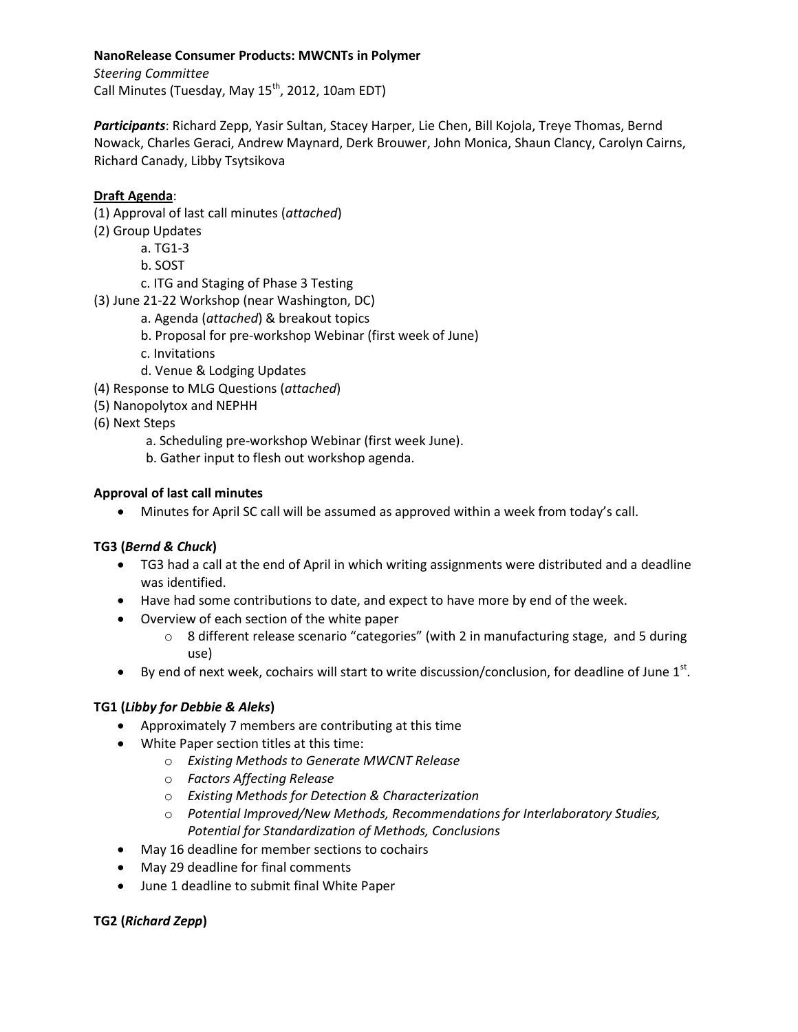### **NanoRelease Consumer Products: MWCNTs in Polymer**

*Steering Committee*  Call Minutes (Tuesday, May  $15^{th}$ , 2012, 10am EDT)

*Participants*: Richard Zepp, Yasir Sultan, Stacey Harper, Lie Chen, Bill Kojola, Treye Thomas, Bernd Nowack, Charles Geraci, Andrew Maynard, Derk Brouwer, John Monica, Shaun Clancy, Carolyn Cairns, Richard Canady, Libby Tsytsikova

# **Draft Agenda**:

- (1) Approval of last call minutes (*attached*)
- (2) Group Updates
	- a. TG1-3
		- b. SOST
		- c. ITG and Staging of Phase 3 Testing
- (3) June 21-22 Workshop (near Washington, DC)
	- a. Agenda (*attached*) & breakout topics
	- b. Proposal for pre-workshop Webinar (first week of June)
	- c. Invitations
	- d. Venue & Lodging Updates
- (4) Response to MLG Questions (*attached*)
- (5) Nanopolytox and NEPHH
- (6) Next Steps
	- a. Scheduling pre-workshop Webinar (first week June).
	- b. Gather input to flesh out workshop agenda.

## **Approval of last call minutes**

Minutes for April SC call will be assumed as approved within a week from today's call.

# **TG3 (***Bernd & Chuck***)**

- TG3 had a call at the end of April in which writing assignments were distributed and a deadline was identified.
- Have had some contributions to date, and expect to have more by end of the week.
- Overview of each section of the white paper
	- $\circ$  8 different release scenario "categories" (with 2 in manufacturing stage, and 5 during use)
- $\bullet$  By end of next week, cochairs will start to write discussion/conclusion, for deadline of June 1st.

# **TG1 (***Libby for Debbie & Aleks***)**

- Approximately 7 members are contributing at this time
- White Paper section titles at this time:
	- o *Existing Methods to Generate MWCNT Release*
	- o *Factors Affecting Release*
	- o *Existing Methods for Detection & Characterization*
	- o *Potential Improved/New Methods, Recommendations for Interlaboratory Studies, Potential for Standardization of Methods, Conclusions*
- May 16 deadline for member sections to cochairs
- May 29 deadline for final comments
- June 1 deadline to submit final White Paper

### **TG2 (***Richard Zepp***)**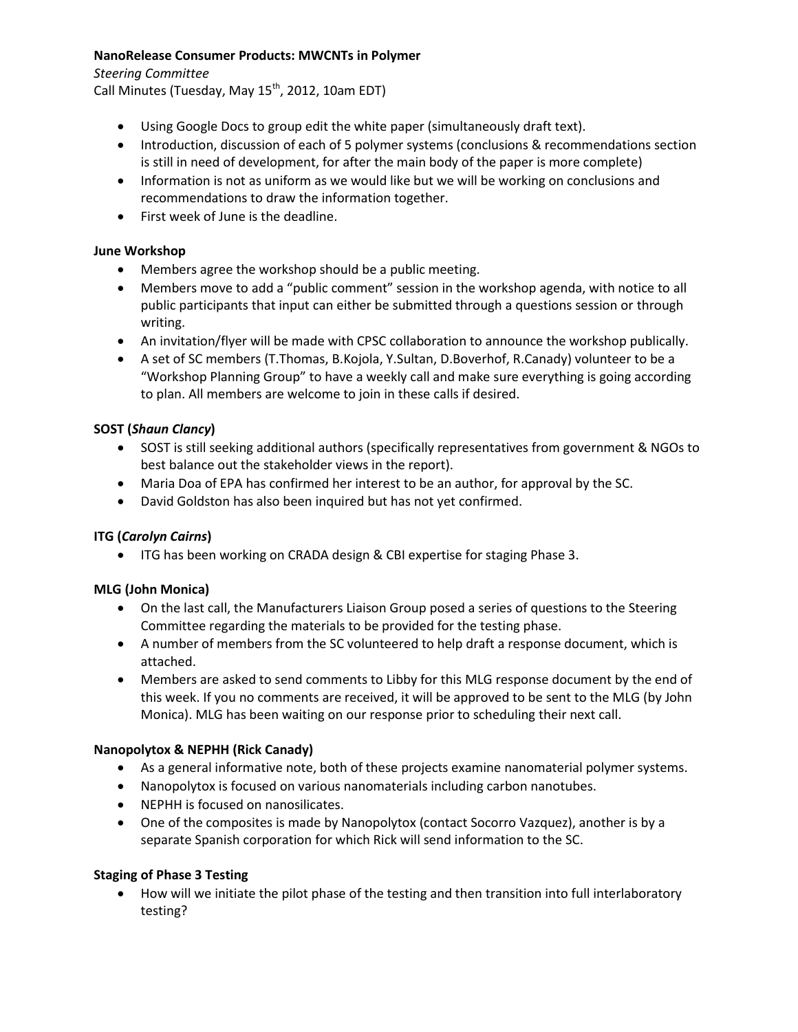## **NanoRelease Consumer Products: MWCNTs in Polymer**

*Steering Committee* 

Call Minutes (Tuesday, May  $15^{th}$ , 2012, 10am EDT)

- Using Google Docs to group edit the white paper (simultaneously draft text).
- Introduction, discussion of each of 5 polymer systems (conclusions & recommendations section is still in need of development, for after the main body of the paper is more complete)
- Information is not as uniform as we would like but we will be working on conclusions and recommendations to draw the information together.
- First week of June is the deadline.

# **June Workshop**

- Members agree the workshop should be a public meeting.
- Members move to add a "public comment" session in the workshop agenda, with notice to all public participants that input can either be submitted through a questions session or through writing.
- An invitation/flyer will be made with CPSC collaboration to announce the workshop publically.
- A set of SC members (T.Thomas, B.Kojola, Y.Sultan, D.Boverhof, R.Canady) volunteer to be a "Workshop Planning Group" to have a weekly call and make sure everything is going according to plan. All members are welcome to join in these calls if desired.

## **SOST (***Shaun Clancy***)**

- SOST is still seeking additional authors (specifically representatives from government & NGOs to best balance out the stakeholder views in the report).
- Maria Doa of EPA has confirmed her interest to be an author, for approval by the SC.
- David Goldston has also been inquired but has not yet confirmed.

### **ITG (***Carolyn Cairns***)**

ITG has been working on CRADA design & CBI expertise for staging Phase 3.

### **MLG (John Monica)**

- On the last call, the Manufacturers Liaison Group posed a series of questions to the Steering Committee regarding the materials to be provided for the testing phase.
- A number of members from the SC volunteered to help draft a response document, which is attached.
- Members are asked to send comments to Libby for this MLG response document by the end of this week. If you no comments are received, it will be approved to be sent to the MLG (by John Monica). MLG has been waiting on our response prior to scheduling their next call.

### **Nanopolytox & NEPHH (Rick Canady)**

- As a general informative note, both of these projects examine nanomaterial polymer systems.
- Nanopolytox is focused on various nanomaterials including carbon nanotubes.
- NEPHH is focused on nanosilicates.
- One of the composites is made by Nanopolytox (contact Socorro Vazquez), another is by a separate Spanish corporation for which Rick will send information to the SC.

### **Staging of Phase 3 Testing**

 How will we initiate the pilot phase of the testing and then transition into full interlaboratory testing?